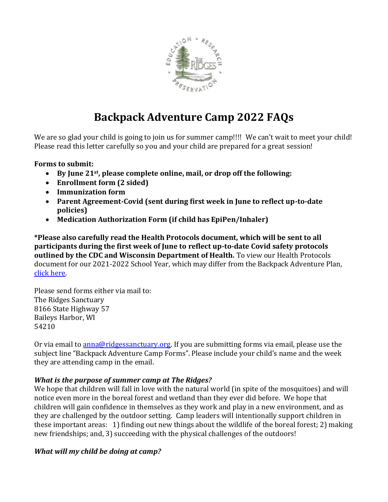

# **Backpack Adventure Camp 2022 FAQs**

We are so glad your child is going to join us for summer camp!!!! We can't wait to meet your child! Please read this letter carefully so you and your child are prepared for a great session!

#### **Forms to submit:**

- **By June 21st, please complete online, mail, or drop off the following:**
- **Enrollment form (2 sided)**
- **Immunization form**
- **Parent Agreement-Covid (sent during first week in June to reflect up-to-date policies)**
- **Medication Authorization Form (if child has EpiPen/Inhaler)**

**\*Please also carefully read the Health Protocols document, which will be sent to all participants during the first week of June to reflect up-to-date Covid safety protocols outlined by the CDC and Wisconsin Department of Health.** To view our Health Protocols document for our 2021-2022 School Year, which may differ from the Backpack Adventure Plan, [click here.](https://www.ridgessanctuary.org/registered-camp-families/)

Please send forms either via mail to: The Ridges Sanctuary 8166 State Highway 57 Baileys Harbor, WI 54210

Or via email to [anna@ridgessanctuary.org.](mailto:anna@ridgessanctuary.org) If you are submitting forms via email, please use the subject line "Backpack Adventure Camp Forms". Please include your child's name and the week they are attending camp in the email.

#### *What is the purpose of summer camp at The Ridges?*

We hope that children will fall in love with the natural world (in spite of the mosquitoes) and will notice even more in the boreal forest and wetland than they ever did before. We hope that children will gain confidence in themselves as they work and play in a new environment, and as they are challenged by the outdoor setting. Camp leaders will intentionally support children in these important areas: 1) finding out new things about the wildlife of the boreal forest; 2) making new friendships; and, 3) succeeding with the physical challenges of the outdoors!

#### *What will my child be doing at camp?*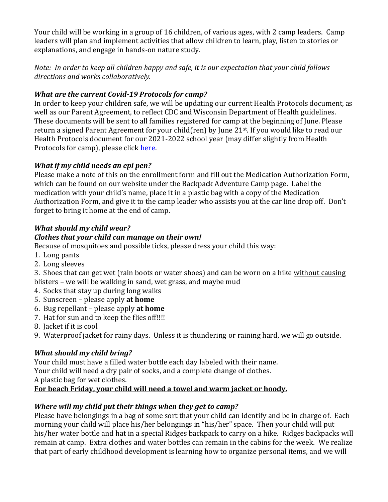Your child will be working in a group of 16 children, of various ages, with 2 camp leaders. Camp leaders will plan and implement activities that allow children to learn, play, listen to stories or explanations, and engage in hands-on nature study.

*Note: In order to keep all children happy and safe, it is our expectation that your child follows directions and works collaboratively.*

#### *What are the current Covid-19 Protocols for camp?*

In order to keep your children safe, we will be updating our current Health Protocols document, as well as our Parent Agreement, to reflect CDC and Wisconsin Department of Health guidelines. These documents will be sent to all families registered for camp at the beginning of June. Please return a signed Parent Agreement for your child(ren) by June 21st. If you would like to read our Health Protocols document for our 2021-2022 school year (may differ slightly from Health Protocols for camp), please click [here.](https://www.ridgessanctuary.org/registered-camp-families/)

### *What if my child needs an epi pen?*

Please make a note of this on the enrollment form and fill out the Medication Authorization Form, which can be found on our website under the Backpack Adventure Camp page. Label the medication with your child's name, place it in a plastic bag with a copy of the Medication Authorization Form, and give it to the camp leader who assists you at the car line drop off. Don't forget to bring it home at the end of camp.

# *What should my child wear?*

### *Clothes that your child can manage on their own!*

Because of mosquitoes and possible ticks, please dress your child this way:

- 1. Long pants
- 2. Long sleeves

3. Shoes that can get wet (rain boots or water shoes) and can be worn on a hike without causing blisters – we will be walking in sand, wet grass, and maybe mud

- 4. Socks that stay up during long walks
- 5. Sunscreen please apply **at home**
- 6. Bug repellant please apply **at home**
- 7. Hat for sun and to keep the flies off!!!!
- 8. Jacket if it is cool
- 9. Waterproof jacket for rainy days. Unless it is thundering or raining hard, we will go outside.

# *What should my child bring?*

Your child must have a filled water bottle each day labeled with their name.

Your child will need a dry pair of socks, and a complete change of clothes.

A plastic bag for wet clothes.

# **For beach Friday, your child will need a towel and warm jacket or hoody.**

# *Where will my child put their things when they get to camp?*

Please have belongings in a bag of some sort that your child can identify and be in charge of. Each morning your child will place his/her belongings in "his/her" space. Then your child will put his/her water bottle and hat in a special Ridges backpack to carry on a hike. Ridges backpacks will remain at camp. Extra clothes and water bottles can remain in the cabins for the week. We realize that part of early childhood development is learning how to organize personal items, and we will